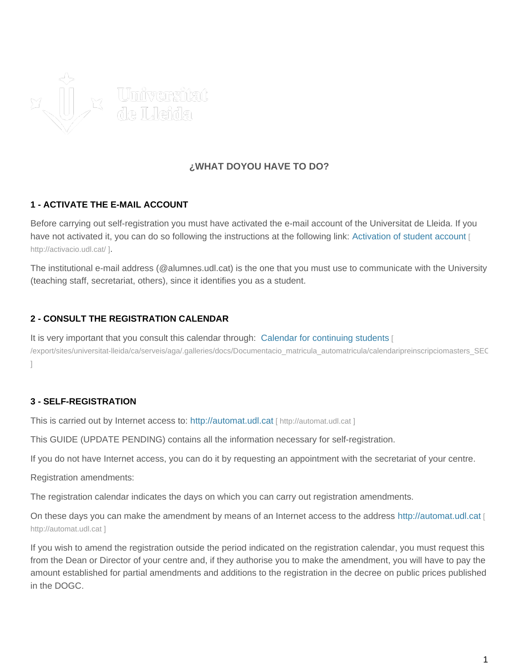

# **¿WHAT DOYOU HAVE TO DO?**

### **1 - ACTIVATE THE E-MAIL ACCOUNT**

Before carrying out self-registration you must have activated the e-mail account of the Universitat de Lleida. If you have not activated it, you can do so following the instructions at the following link: [Activation of student account](http://activacio.udl.cat/) [ [http://activacio.udl.cat/ \]](http://activacio.udl.cat/).

The institutional e-mail address (@alumnes.udl.cat) is the one that you must use to communicate with the University (teaching staff, secretariat, others), since it identifies you as a student.

### **2 - CONSULT THE REGISTRATION CALENDAR**

It is very important that you consult this calendar through: Calendar for continuing students [ /export/sites/universitat-lleida/ca/serveis/aga/.galleries/docs/Documentacio\_matricula\_automatricula/calendaripreinscripciomasters\_SEC  $\begin{array}{c} \hline \end{array}$ 

#### **3 - SELF-REGISTRATION**

This is carried out by Internet access to: <http://automat.udl.cat> [ http://automat.udl.cat ]

This GUIDE (UPDATE PENDING) contains all the information necessary for self-registration.

If you do not have Internet access, you can do it by requesting an appointment with the secretariat of your centre.

Registration amendments:

The registration calendar indicates the days on which you can carry out registration amendments.

On these days you can make the amendment by means of an Internet access to the address <http://automat.udl.cat> [ [http://automat.udl.cat \]](http://automat.udl.cat)

If you wish to amend the registration outside the period indicated on the registration calendar, you must request this from the Dean or Director of your centre and, if they authorise you to make the amendment, you will have to pay the amount established for partial amendments and additions to the registration in the decree on public prices published in the DOGC.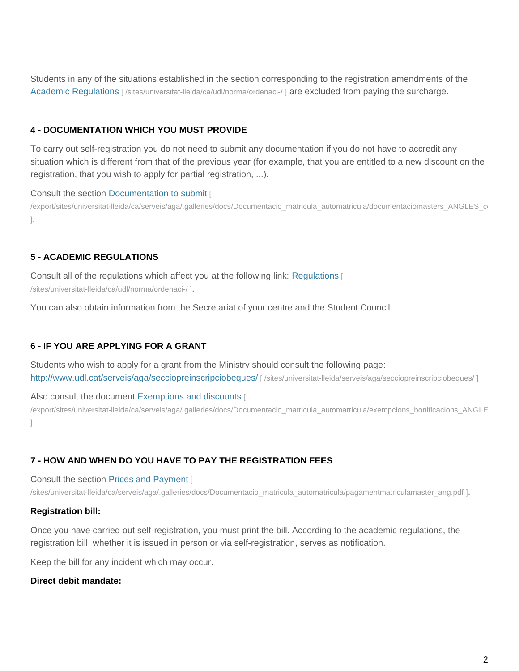Students in any of the situations established in the section corresponding to the registration amendments of the Academic Regulations [/sites/universitat-lleida/ca/udl/norma/ordenaci-/ ] are excluded from paying the surcharge.

### **4 - DOCUMENTATION WHICH YOU MUST PROVIDE**

To carry out self-registration you do not need to submit any documentation if you do not have to accredit any situation which is different from that of the previous year (for example, that you are entitled to a new discount on the registration, that you wish to apply for partial registration, ...).

#### Consult the section Documentation to submit [

/export/sites/universitat-lleida/ca/serveis/aga/.galleries/docs/Documentacio\_matricula\_automatricula/documentaciomasters\_ANGLES\_co ].

## **5 - ACADEMIC REGULATIONS**

Consult all of the regulations which affect you at the following link: Regulations [ /sites/universitat-lleida/ca/udl/norma/ordenaci-/ ].

You can also obtain information from the Secretariat of your centre and the Student Council.

### **6 - IF YOU ARE APPLYING FOR A GRANT**

Students who wish to apply for a grant from the Ministry should consult the following page: http://www.udl.cat/serveis/aga/secciopreinscripciobeques/ [ /sites/universitat-lleida/serveis/aga/secciopreinscripciobeques/ ]

Also consult the document Exemptions and discounts [

/export/sites/universitat-lleida/ca/serveis/aga/.galleries/docs/Documentacio\_matricula\_automatricula/exempcions\_bonificacions\_ANGLE ]

### **7 - HOW AND WHEN DO YOU HAVE TO PAY THE REGISTRATION FEES**

Consult the section Prices and Payment [

/sites/universitat-lleida/ca/serveis/aga/.galleries/docs/Documentacio\_matricula\_automatricula/pagamentmatriculamaster\_ang.pdf ].

#### **Registration bill:**

Once you have carried out self-registration, you must print the bill. According to the academic regulations, the registration bill, whether it is issued in person or via self-registration, serves as notification.

Keep the bill for any incident which may occur.

#### **Direct debit mandate:**